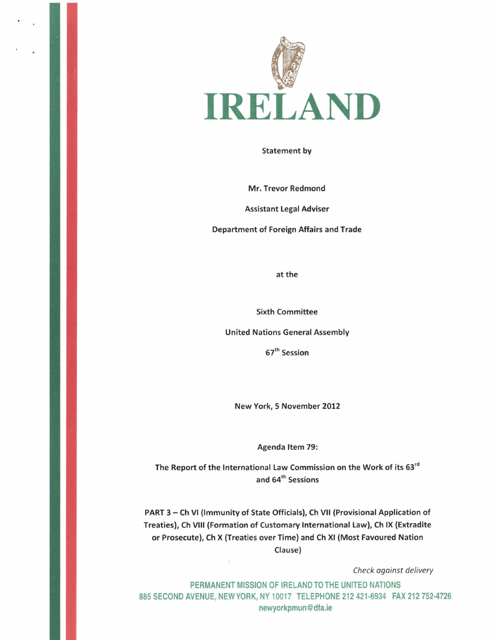

Statement by

Mr. Trevor Redmond

Assistant Legal Adviser

Department of Foreign Affairs and Trade

at the

Sixth Committee

United Nations General Assembly

67th Session

New York, 5 November 2012

Agenda Item 79:

The Report of the International Law Commission on the Work of its 63<sup>rd</sup> and 64<sup>th</sup> Sessions

PART 3 - Ch VI (Immunity of State Officials), Ch VII (Provisional Application of Treaties), Ch VIII {Formation of Customary International Law), Ch IX {Extradite or Prosecute), Ch X {Treaties over Time) and Ch XI {Most Favoured Nation Clause)

Check against delivery

PERMANENT MISSION OF IRELAND TO THE UNITED NATIONS 885 SECOND AVENUE, NEW YORK, NY 10017 TELEPHONE 212 421-6934 FAX 212 752-4726 newyorkpmun@dfa.ie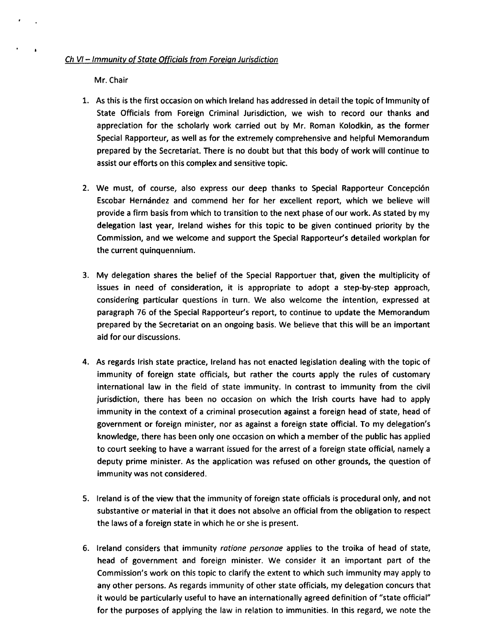Mr. Chair

- 1. As this is the first occasion on which Ireland has addressed in detail the topic of Immunity of State Officials from Foreign Criminal Jurisdiction, we wish to record our thanks and appreciation for the scholarly work carried out by Mr. Roman Kolodkin, as the former Special Rapporteur, as well as for the extremely comprehensive and helpful Memorandum prepared by the Secretariat. There is no doubt but that this body of work will continue to assist our efforts on this complex and sensitive topic.
- 2. We must, of course, also express our deep thanks to Special Rapporteur Concepcion Escobar Hernandez and commend her for her excellent report, which we believe will provide a firm basis from which to transition to the next phase of our work. As stated by my delegation last year, Ireland wishes for this topic to be given continued priority by the Commission, and we welcome and support the Special Rapporteur's detailed workplan for the current quinquennium.
- 3. My delegation shares the belief of the Special Rapportuer that, given the multiplicity of issues in need of consideration, it is appropriate to adopt a step-by-step approach, considering particular questions in turn. We also welcome the intention, expressed at paragraph 76 of the Special Rapporteur's report, to continue to update the Memorandum prepared by the Secretariat on an ongoing basis. We believe that this will be an important aid for our discussions.
- 4. As regards Irish state practice, Ireland has not enacted legislation dealing with the topic of immunity of foreign state officials, but rather the courts apply the rules of customary international law in the field of state immunity. In contrast to immunity from the civil jurisdiction, there has been no occasion on which the Irish courts have had to apply immunity in the context of a criminal prosecution against a foreign head of state, head of government or foreign minister, nor as against a foreign state official. To my delegation's knowledge, there has been only one occasion on which a member of the public has applied to court seeking to have a warrant issued for the arrest of a foreign state official, namely a deputy prime minister. As the application was refused on other grounds, the question of immunity was not considered.
- 5. Ireland is of the view that the immunity of foreign state officials is procedural only, and not substantive or material in that it does not absolve an official from the obligation to respect the laws of a foreign state in which he or she is present.
- 6. Ireland considers that immunity ratione personae applies to the troika of head of state, head of government and foreign minister. We consider it an important part of the Commission's work on this topic to clarify the extent to which such immunity may apply to any other persons. As regards immunity of other state officials, my delegation concurs that it would be particularly useful to have an internationally agreed definition of "state official" for the purposes of applying the law in relation to immunities. In this regard, we note the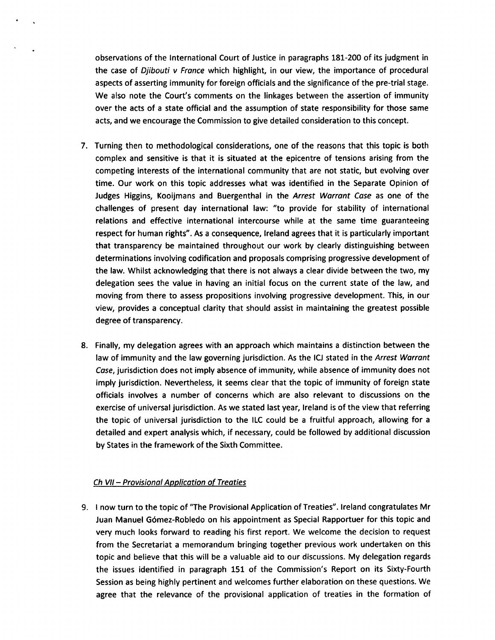observations of the International Court of Justice in paragraphs 181-200 of its judgment in the case of Diibouti v France which highlight, in our view, the importance of procedural aspects of asserting immunity for foreign officials and the significance of the pre-trial stage. We also note the Court's comments on the linkages between the assertion of immunity over the acts of a state official and the assumption of state responsibility for those same acts, and we encourage the Commission to give detailed consideration to this concept.

- 7. Turning then to methodological considerations, one of the reasons that this topic is both complex and sensitive is that it is situated at the epicentre of tensions arising from the competing interests of the international community that are not static, but evolving over time. Our work on this topic addresses what was identified in the Separate Opinion of Judges Higgins, Kooijmans and Buergenthal in the Arrest Warrant Case as one of the challenges of present day international law: "to provide for stability of international relations and effective international intercourse while at the same time guaranteeing respect for human rights". As a consequence, Ireland agrees that it is particularly important that transparency be maintained throughout our work by clearly distinguishing between determinations involving codification and proposals comprising progressive development of the law. Whilst acknowledging that there is not always a clear divide between the two, my delegation sees the value in having an initial focus on the current state of the law, and moving from there to assess propositions involving progressive development. This, in our view, provides a conceptual clarity that should assist in maintaining the greatest possible degree of transparency.
- 8. Finally, my delegation agrees with an approach which maintains a distinction between the law of immunity and the law governing jurisdiction. As the ICJ stated in the Arrest Warrant Case, jurisdiction does not imply absence of immunity, while absence of immunity does not imply jurisdiction. Nevertheless, it seems clear that the topic of immunity of foreign state officials involves a number of concerns which are also relevant to discussions on the exercise of universal jurisdiction. As we stated last year, Ireland is of the view that referring the topic of universal jurisdiction to the ILC could be a fruitful approach, allowing for a detailed and expert analysis which, if necessary, could be followed by additional discussion by States in the framework of the Sixth Committee.

## Ch VII - Provisional Application of Treaties

9. I now turn to the topic of "The Provisional Application of Treaties". Ireland congratulates Mr Juan Manuel G6mez-Robledo on his appointment as Special Rapportuer for this topic and very much looks forward to reading his first report. We welcome the decision to request from the Secretariat a memorandum bringing together previous work undertaken on this topic and believe that this will be a valuable aid to our discussions. My delegation regards the issues identified in paragraph 151 of the Commission's Report on its Sixty-Fourth Session as being highly pertinent and welcomes further elaboration on these questions. We agree that the relevance of the provisional application of treaties in the formation of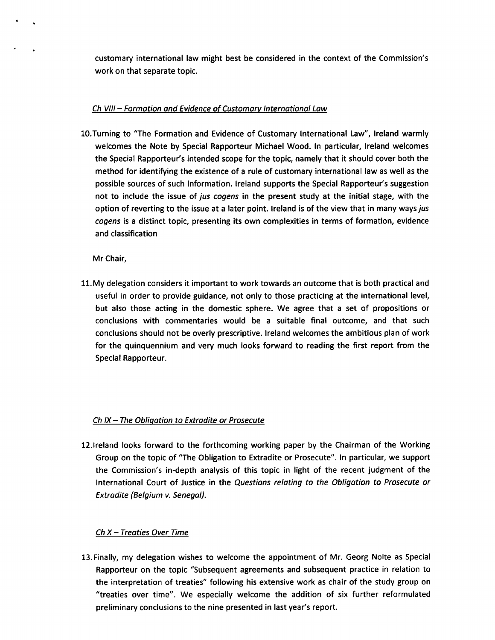customary international law might best be considered in the context of the Commission's work on that separate topic.

## Ch VIII - Formation and Evidence of Customary International Law

10.Turning to "The Formation and Evidence of Customary International Law", Ireland warmly welcomes the Note by Special Rapporteur Michael Wood. In particular, Ireland welcomes the Special Rapporteur's intended scope for the topic, namely that it should cover both the method for identifying the existence of a rule of customary international law as well as the possible sources of such information. Ireland supports the Special Rapporteur's suggestion not to include the issue of jus cogens in the present study at the initial stage, with the option of reverting to the issue at a later point. Ireland is of the view that in many ways jus cogens is a distinct topic, presenting its own complexities in terms of formation, evidence and classification

Mr Chair,

11. My delegation considers it important to work towards an outcome that is both practical and useful in order to provide guidance, not only to those practicing at the international level, but also those acting in the domestic sphere. We agree that a set of propositions or conclusions with commentaries would be a suitable final outcome, and that such conclusions should not be overly prescriptive. Ireland welcomes the ambitious plan of work for the quinquennium and very much looks forward to reading the first report from the Special Rapporteur.

## Ch IX - The Obligation to Extradite or Prosecute

12.lreland looks forward to the forthcoming working paper by the Chairman of the Working Group on the topic of "The Obligation to Extradite or Prosecute". In particular, we support the Commission's in-depth analysis of this topic in light of the recent judgment of the International Court of Justice in the Questions relating to the Obligation to Prosecute or Extradite (Belgium v. Senegal).

## $Ch X - Treaties Over Time$

13. Finally, my delegation wishes to welcome the appointment of Mr. Georg Nolte as Special Rapporteur on the topic "Subsequent agreements and subsequent practice in relation to the interpretation of treaties" following his extensive work as chair of the study group on "treaties over time". We especially welcome the addition of six further reformulated preliminary conclusions to the nine presented in last year's report.